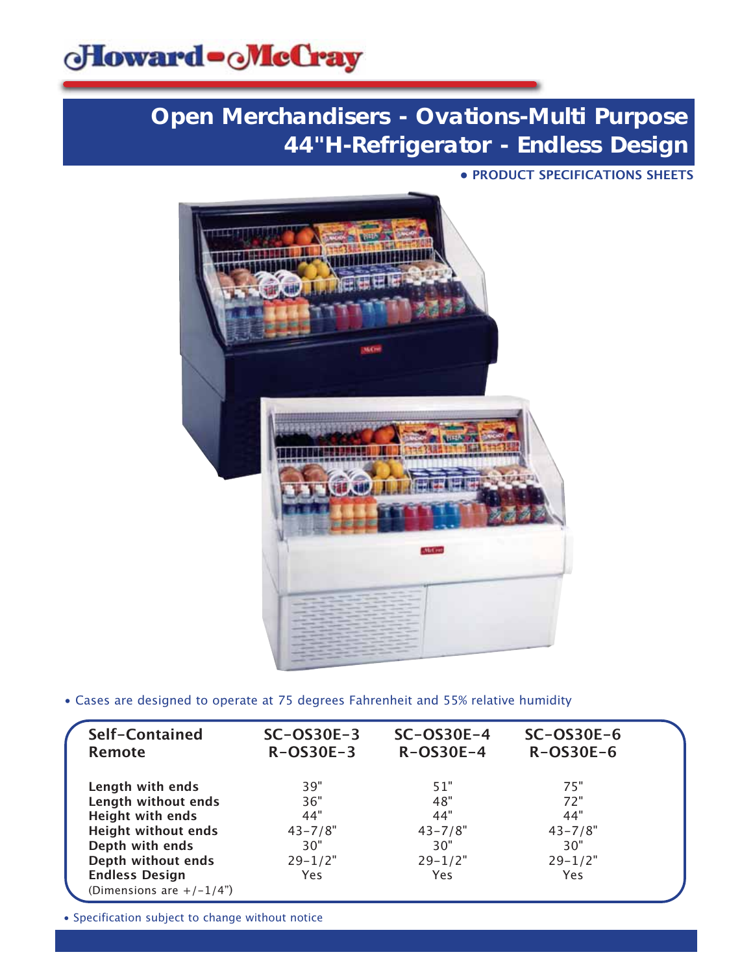

**• PRODUCT SPECIFICATIONS SHEETS**



• Cases are designed to operate at 75 degrees Fahrenheit and 55% relative humidity

| Self-Contained<br><b>Remote</b>         | $SC-OS30E-3$<br>$R-OS30E-3$ | $SC-OS30E-4$<br>$R-OS30E-4$ | $SC-OS30E-6$<br>R-OS30E-6 |  |
|-----------------------------------------|-----------------------------|-----------------------------|---------------------------|--|
| Length with ends<br>Length without ends | 39"<br>36"                  | 51"<br>48"                  | 75"<br>72"                |  |
| <b>Height with ends</b>                 | 44"                         | 44"                         | 44"                       |  |
| <b>Height without ends</b>              | $43 - 7/8"$                 | $43 - 7/8"$                 | $43 - 7/8"$               |  |
| Depth with ends                         | 30"                         | 30"                         | 30"                       |  |
| Depth without ends                      | $29 - 1/2"$                 | $29 - 1/2"$                 | $29 - 1/2"$               |  |
| <b>Endless Design</b>                   | Yes                         | Yes                         | Yes                       |  |
| (Dimensions are $+/-1/4$ ")             |                             |                             |                           |  |

• Specification subject to change without notice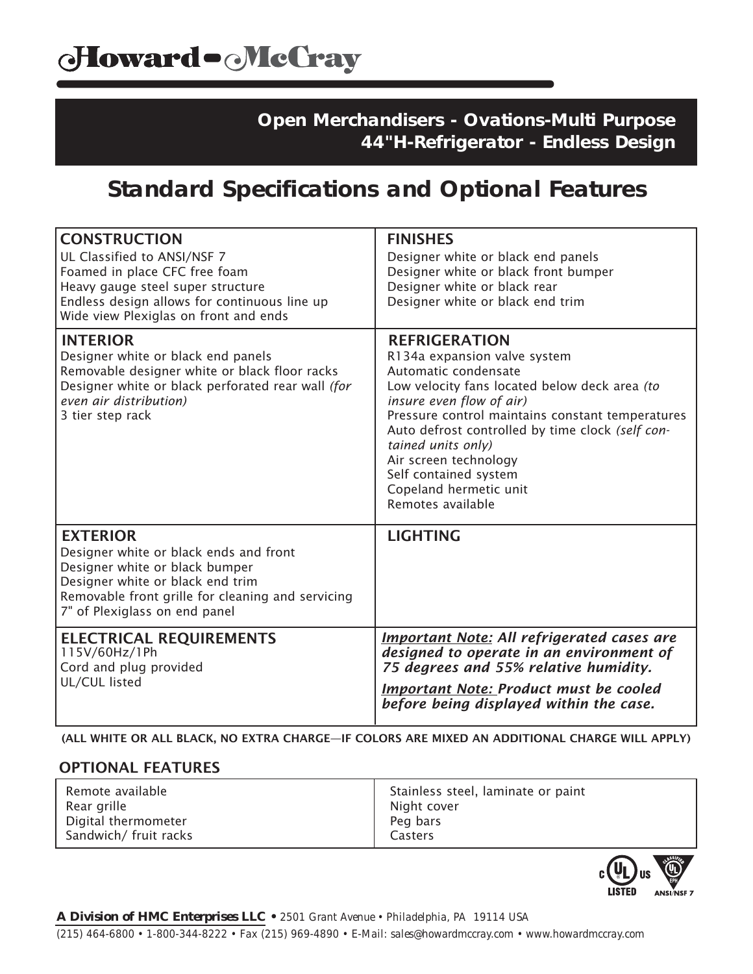## **Standard Specifications and Optional Features**

| <b>CONSTRUCTION</b><br>UL Classified to ANSI/NSF 7<br>Foamed in place CFC free foam<br>Heavy gauge steel super structure<br>Endless design allows for continuous line up<br>Wide view Plexiglas on front and ends     | <b>FINISHES</b><br>Designer white or black end panels<br>Designer white or black front bumper<br>Designer white or black rear<br>Designer white or black end trim                                                                                                                                                                                                                        |
|-----------------------------------------------------------------------------------------------------------------------------------------------------------------------------------------------------------------------|------------------------------------------------------------------------------------------------------------------------------------------------------------------------------------------------------------------------------------------------------------------------------------------------------------------------------------------------------------------------------------------|
| <b>INTERIOR</b><br>Designer white or black end panels<br>Removable designer white or black floor racks<br>Designer white or black perforated rear wall (for<br>even air distribution)<br>3 tier step rack             | <b>REFRIGERATION</b><br>R134a expansion valve system<br>Automatic condensate<br>Low velocity fans located below deck area (to<br>insure even flow of air)<br>Pressure control maintains constant temperatures<br>Auto defrost controlled by time clock (self con-<br>tained units only)<br>Air screen technology<br>Self contained system<br>Copeland hermetic unit<br>Remotes available |
| <b>EXTERIOR</b><br>Designer white or black ends and front<br>Designer white or black bumper<br>Designer white or black end trim<br>Removable front grille for cleaning and servicing<br>7" of Plexiglass on end panel | <b>LIGHTING</b>                                                                                                                                                                                                                                                                                                                                                                          |
| <b>ELECTRICAL REQUIREMENTS</b><br>115V/60Hz/1Ph<br>Cord and plug provided<br>UL/CUL listed                                                                                                                            | <b>Important Note: All refrigerated cases are</b><br>designed to operate in an environment of<br>75 degrees and 55% relative humidity.<br><b>Important Note: Product must be cooled</b><br>before being displayed within the case.                                                                                                                                                       |

(ALL WHITE OR ALL BLACK, NO EXTRA CHARGE—IF COLORS ARE MIXED AN ADDITIONAL CHARGE WILL APPLY)

### OPTIONAL FEATURES

| Remote available      | Stainless steel, laminate or paint |
|-----------------------|------------------------------------|
| Rear grille           | Night cover                        |
| Digital thermometer   | Peg bars                           |
| Sandwich/ fruit racks | Casters                            |

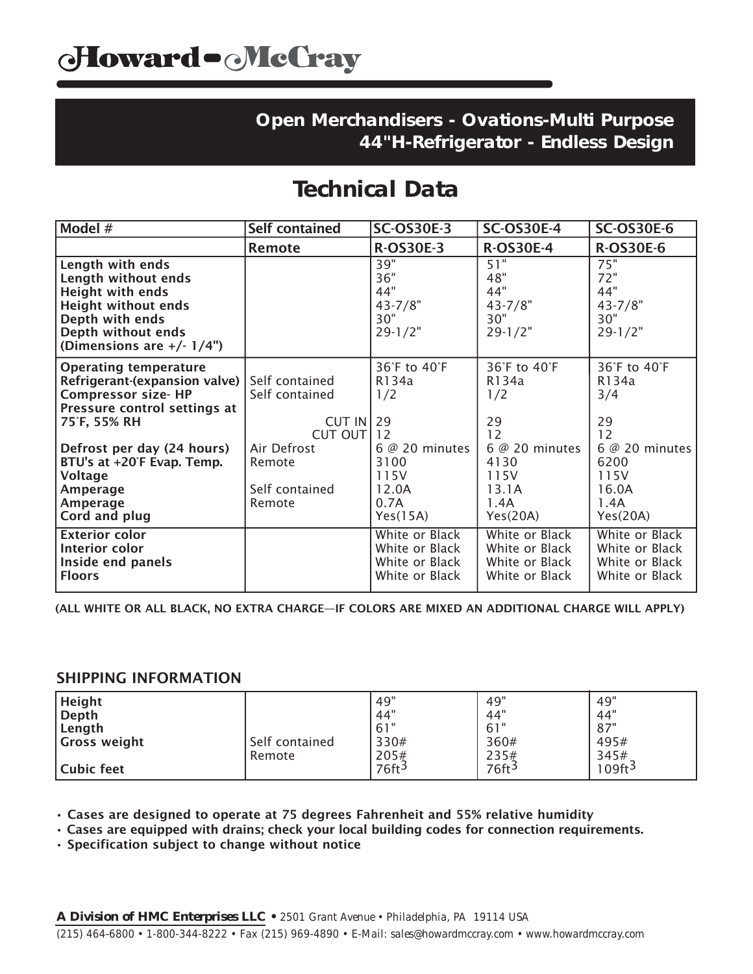## **Technical Data**

| Model #                                                                                                                                                                   | <b>Self contained</b>                                    | <b>SC-OS30E-3</b>                                                    | <b>SC-OS30E-4</b>                                                    | <b>SC-OS30E-6</b>                                                    |
|---------------------------------------------------------------------------------------------------------------------------------------------------------------------------|----------------------------------------------------------|----------------------------------------------------------------------|----------------------------------------------------------------------|----------------------------------------------------------------------|
|                                                                                                                                                                           | Remote                                                   | <b>R-OS30E-3</b>                                                     | <b>R-OS30E-4</b>                                                     | <b>R-OS30E-6</b>                                                     |
| Length with ends<br>Length without ends<br><b>Height with ends</b><br><b>Height without ends</b><br>Depth with ends<br>Depth without ends<br>(Dimensions are $+/- 1/4$ ") |                                                          | 39"<br>36"<br>44"<br>$43 - 7/8"$<br>30"<br>$29 - 1/2"$               | 51"<br>48"<br>44"<br>$43 - 7/8"$<br>30"<br>$29 - 1/2"$               | 75"<br>72"<br>44"<br>$43 - 7/8"$<br>30"<br>$29 - 1/2"$               |
| <b>Operating temperature</b><br>Refrigerant-(expansion valve)<br><b>Compressor size- HP</b><br>Pressure control settings at<br>75°F, 55% RH                               | Self contained<br>Self contained<br>CUT IN<br>CUT OUT 12 | 36°F to 40°F<br>R134a<br>1/2<br>29                                   | 36°F to 40°F<br>R134a<br>1/2<br>29<br>12                             | 36°F to 40°F<br>R134a<br>3/4<br>29<br>12                             |
| Defrost per day (24 hours)<br>BTU's at +20°F Evap. Temp.<br>Voltage<br>Amperage<br>Amperage<br>Cord and plug                                                              | Air Defrost<br>Remote<br>Self contained<br>Remote        | $6@20$ minutes<br>3100<br>115V<br>12.0A<br>0.7A<br>Yes(15A)          | 6 @ 20 minutes<br>4130<br>115V<br>13.1A<br>1.4A<br>Yes(20A)          | $6@20$ minutes<br>6200<br>115V<br>16.0A<br>1.4A<br>Yes(20A)          |
| <b>Exterior color</b><br>Interior color<br>Inside end panels<br><b>Floors</b>                                                                                             |                                                          | White or Black<br>White or Black<br>White or Black<br>White or Black | White or Black<br>White or Black<br>White or Black<br>White or Black | White or Black<br>White or Black<br>White or Black<br>White or Black |

(ALL WHITE OR ALL BLACK, NO EXTRA CHARGE—IF COLORS ARE MIXED AN ADDITIONAL CHARGE WILL APPLY)

#### SHIPPING INFORMATION

| <b>Height</b><br>Depth<br>Length<br>Gross weight | Self contained<br>Remote | .49"<br>.44"<br>.61"<br>330#<br>205# | 49"<br>44"<br>61"<br>360#<br>235# | 49"<br>44"<br>87"<br>495#<br>345# |
|--------------------------------------------------|--------------------------|--------------------------------------|-----------------------------------|-----------------------------------|
| Cubic feet                                       |                          | $76$ ft <sup>3</sup>                 | 76ft <sup>3</sup>                 | 109ft <sup>3</sup>                |

• Cases are designed to operate at 75 degrees Fahrenheit and 55% relative humidity

• Cases are equipped with drains; check your local building codes for connection requirements.

• Specification subject to change without notice